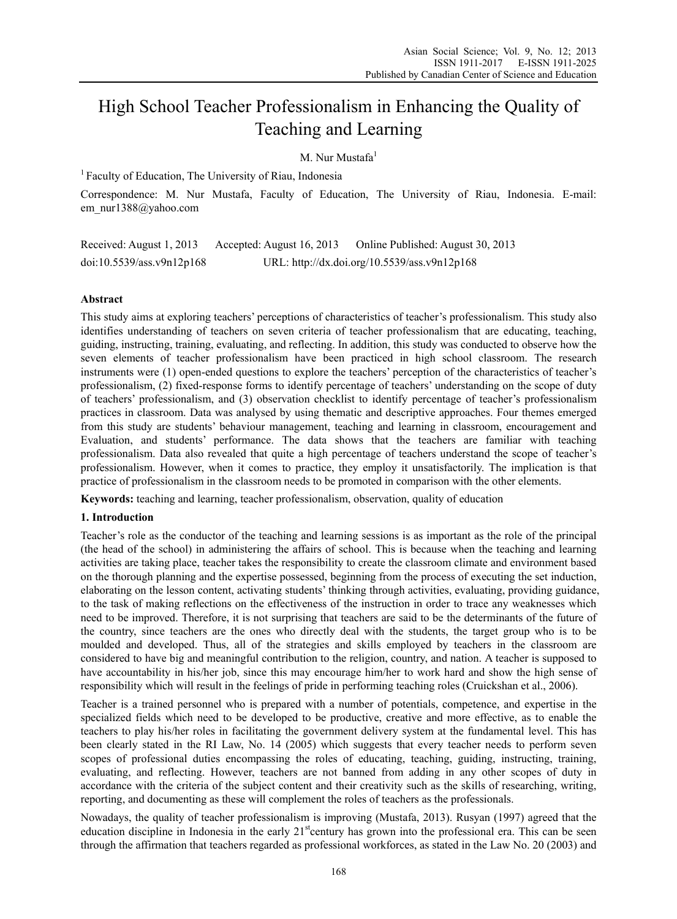# High School Teacher Professionalism in Enhancing the Quality of Teaching and Learning

M. Nur Mustafa $1$ 

<sup>1</sup> Faculty of Education, The University of Riau, Indonesia

Correspondence: M. Nur Mustafa, Faculty of Education, The University of Riau, Indonesia. E-mail: em\_nur1388@yahoo.com

Received: August 1, 2013 Accepted: August 16, 2013 Online Published: August 30, 2013 doi:10.5539/ass.v9n12p168 URL: http://dx.doi.org/10.5539/ass.v9n12p168

## **Abstract**

This study aims at exploring teachers' perceptions of characteristics of teacher's professionalism. This study also identifies understanding of teachers on seven criteria of teacher professionalism that are educating, teaching, guiding, instructing, training, evaluating, and reflecting. In addition, this study was conducted to observe how the seven elements of teacher professionalism have been practiced in high school classroom. The research instruments were (1) open-ended questions to explore the teachers' perception of the characteristics of teacher's professionalism, (2) fixed-response forms to identify percentage of teachers' understanding on the scope of duty of teachers' professionalism, and (3) observation checklist to identify percentage of teacher's professionalism practices in classroom. Data was analysed by using thematic and descriptive approaches. Four themes emerged from this study are students' behaviour management, teaching and learning in classroom, encouragement and Evaluation, and students' performance. The data shows that the teachers are familiar with teaching professionalism. Data also revealed that quite a high percentage of teachers understand the scope of teacher's professionalism. However, when it comes to practice, they employ it unsatisfactorily. The implication is that practice of professionalism in the classroom needs to be promoted in comparison with the other elements.

**Keywords:** teaching and learning, teacher professionalism, observation, quality of education

## **1. Introduction**

Teacher's role as the conductor of the teaching and learning sessions is as important as the role of the principal (the head of the school) in administering the affairs of school. This is because when the teaching and learning activities are taking place, teacher takes the responsibility to create the classroom climate and environment based on the thorough planning and the expertise possessed, beginning from the process of executing the set induction, elaborating on the lesson content, activating students' thinking through activities, evaluating, providing guidance, to the task of making reflections on the effectiveness of the instruction in order to trace any weaknesses which need to be improved. Therefore, it is not surprising that teachers are said to be the determinants of the future of the country, since teachers are the ones who directly deal with the students, the target group who is to be moulded and developed. Thus, all of the strategies and skills employed by teachers in the classroom are considered to have big and meaningful contribution to the religion, country, and nation. A teacher is supposed to have accountability in his/her job, since this may encourage him/her to work hard and show the high sense of responsibility which will result in the feelings of pride in performing teaching roles (Cruickshan et al., 2006).

Teacher is a trained personnel who is prepared with a number of potentials, competence, and expertise in the specialized fields which need to be developed to be productive, creative and more effective, as to enable the teachers to play his/her roles in facilitating the government delivery system at the fundamental level. This has been clearly stated in the RI Law, No. 14 (2005) which suggests that every teacher needs to perform seven scopes of professional duties encompassing the roles of educating, teaching, guiding, instructing, training, evaluating, and reflecting. However, teachers are not banned from adding in any other scopes of duty in accordance with the criteria of the subject content and their creativity such as the skills of researching, writing, reporting, and documenting as these will complement the roles of teachers as the professionals.

Nowadays, the quality of teacher professionalism is improving (Mustafa, 2013). Rusyan (1997) agreed that the education discipline in Indonesia in the early  $21<sup>st</sup>$  century has grown into the professional era. This can be seen through the affirmation that teachers regarded as professional workforces, as stated in the Law No. 20 (2003) and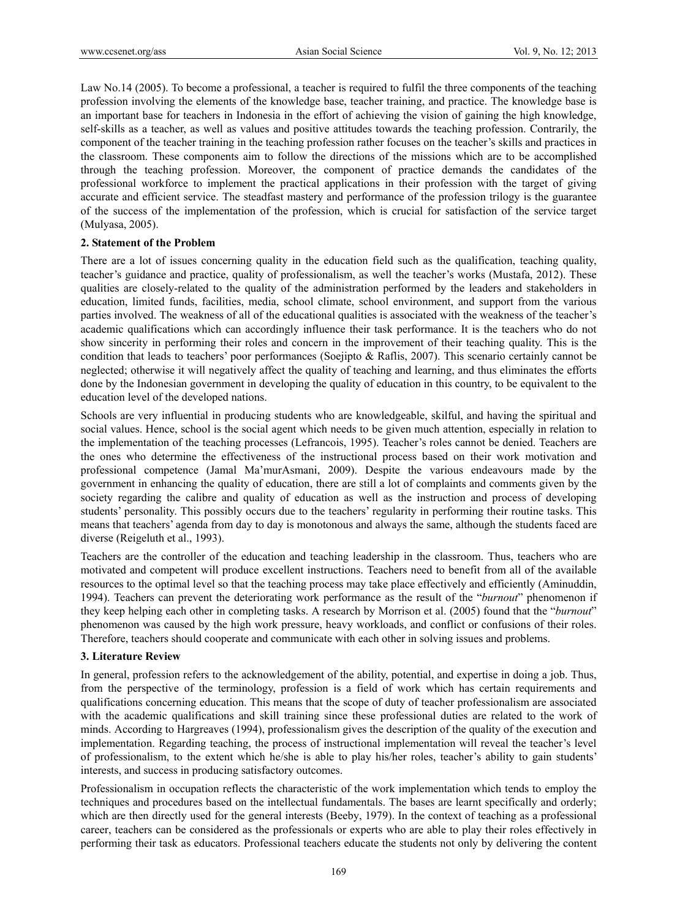Law No.14 (2005). To become a professional, a teacher is required to fulfil the three components of the teaching profession involving the elements of the knowledge base, teacher training, and practice. The knowledge base is an important base for teachers in Indonesia in the effort of achieving the vision of gaining the high knowledge, self-skills as a teacher, as well as values and positive attitudes towards the teaching profession. Contrarily, the component of the teacher training in the teaching profession rather focuses on the teacher's skills and practices in the classroom. These components aim to follow the directions of the missions which are to be accomplished through the teaching profession. Moreover, the component of practice demands the candidates of the professional workforce to implement the practical applications in their profession with the target of giving accurate and efficient service. The steadfast mastery and performance of the profession trilogy is the guarantee of the success of the implementation of the profession, which is crucial for satisfaction of the service target (Mulyasa, 2005).

#### **2. Statement of the Problem**

There are a lot of issues concerning quality in the education field such as the qualification, teaching quality, teacher's guidance and practice, quality of professionalism, as well the teacher's works (Mustafa, 2012). These qualities are closely-related to the quality of the administration performed by the leaders and stakeholders in education, limited funds, facilities, media, school climate, school environment, and support from the various parties involved. The weakness of all of the educational qualities is associated with the weakness of the teacher's academic qualifications which can accordingly influence their task performance. It is the teachers who do not show sincerity in performing their roles and concern in the improvement of their teaching quality. This is the condition that leads to teachers' poor performances (Soejipto & Raflis, 2007). This scenario certainly cannot be neglected; otherwise it will negatively affect the quality of teaching and learning, and thus eliminates the efforts done by the Indonesian government in developing the quality of education in this country, to be equivalent to the education level of the developed nations.

Schools are very influential in producing students who are knowledgeable, skilful, and having the spiritual and social values. Hence, school is the social agent which needs to be given much attention, especially in relation to the implementation of the teaching processes (Lefrancois, 1995). Teacher's roles cannot be denied. Teachers are the ones who determine the effectiveness of the instructional process based on their work motivation and professional competence (Jamal Ma'murAsmani, 2009). Despite the various endeavours made by the government in enhancing the quality of education, there are still a lot of complaints and comments given by the society regarding the calibre and quality of education as well as the instruction and process of developing students' personality. This possibly occurs due to the teachers' regularity in performing their routine tasks. This means that teachers' agenda from day to day is monotonous and always the same, although the students faced are diverse (Reigeluth et al., 1993).

Teachers are the controller of the education and teaching leadership in the classroom. Thus, teachers who are motivated and competent will produce excellent instructions. Teachers need to benefit from all of the available resources to the optimal level so that the teaching process may take place effectively and efficiently (Aminuddin, 1994). Teachers can prevent the deteriorating work performance as the result of the "*burnout*" phenomenon if they keep helping each other in completing tasks. A research by Morrison et al. (2005) found that the "*burnout*" phenomenon was caused by the high work pressure, heavy workloads, and conflict or confusions of their roles. Therefore, teachers should cooperate and communicate with each other in solving issues and problems.

#### **3. Literature Review**

In general, profession refers to the acknowledgement of the ability, potential, and expertise in doing a job. Thus, from the perspective of the terminology, profession is a field of work which has certain requirements and qualifications concerning education. This means that the scope of duty of teacher professionalism are associated with the academic qualifications and skill training since these professional duties are related to the work of minds. According to Hargreaves (1994), professionalism gives the description of the quality of the execution and implementation. Regarding teaching, the process of instructional implementation will reveal the teacher's level of professionalism, to the extent which he/she is able to play his/her roles, teacher's ability to gain students' interests, and success in producing satisfactory outcomes.

Professionalism in occupation reflects the characteristic of the work implementation which tends to employ the techniques and procedures based on the intellectual fundamentals. The bases are learnt specifically and orderly; which are then directly used for the general interests (Beeby, 1979). In the context of teaching as a professional career, teachers can be considered as the professionals or experts who are able to play their roles effectively in performing their task as educators. Professional teachers educate the students not only by delivering the content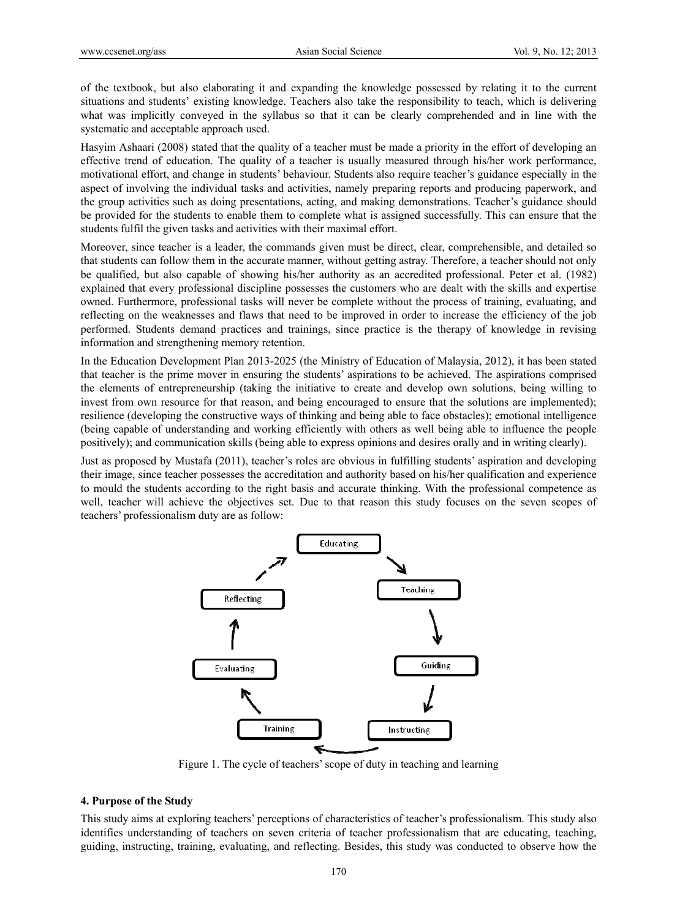of the textbook, but also elaborating it and expanding the knowledge possessed by relating it to the current situations and students' existing knowledge. Teachers also take the responsibility to teach, which is delivering what was implicitly conveyed in the syllabus so that it can be clearly comprehended and in line with the systematic and acceptable approach used.

Hasyim Ashaari (2008) stated that the quality of a teacher must be made a priority in the effort of developing an effective trend of education. The quality of a teacher is usually measured through his/her work performance, motivational effort, and change in students' behaviour. Students also require teacher's guidance especially in the aspect of involving the individual tasks and activities, namely preparing reports and producing paperwork, and the group activities such as doing presentations, acting, and making demonstrations. Teacher's guidance should be provided for the students to enable them to complete what is assigned successfully. This can ensure that the students fulfil the given tasks and activities with their maximal effort.

Moreover, since teacher is a leader, the commands given must be direct, clear, comprehensible, and detailed so that students can follow them in the accurate manner, without getting astray. Therefore, a teacher should not only be qualified, but also capable of showing his/her authority as an accredited professional. Peter et al. (1982) explained that every professional discipline possesses the customers who are dealt with the skills and expertise owned. Furthermore, professional tasks will never be complete without the process of training, evaluating, and reflecting on the weaknesses and flaws that need to be improved in order to increase the efficiency of the job performed. Students demand practices and trainings, since practice is the therapy of knowledge in revising information and strengthening memory retention.

In the Education Development Plan 2013-2025 (the Ministry of Education of Malaysia, 2012), it has been stated that teacher is the prime mover in ensuring the students' aspirations to be achieved. The aspirations comprised the elements of entrepreneurship (taking the initiative to create and develop own solutions, being willing to invest from own resource for that reason, and being encouraged to ensure that the solutions are implemented); resilience (developing the constructive ways of thinking and being able to face obstacles); emotional intelligence (being capable of understanding and working efficiently with others as well being able to influence the people positively); and communication skills (being able to express opinions and desires orally and in writing clearly).

Just as proposed by Mustafa (2011), teacher's roles are obvious in fulfilling students' aspiration and developing their image, since teacher possesses the accreditation and authority based on his/her qualification and experience to mould the students according to the right basis and accurate thinking. With the professional competence as well, teacher will achieve the objectives set. Due to that reason this study focuses on the seven scopes of teachers' professionalism duty are as follow:



Figure 1. The cycle of teachers' scope of duty in teaching and learning

#### **4. Purpose of the Study**

This study aims at exploring teachers' perceptions of characteristics of teacher's professionalism. This study also identifies understanding of teachers on seven criteria of teacher professionalism that are educating, teaching, guiding, instructing, training, evaluating, and reflecting. Besides, this study was conducted to observe how the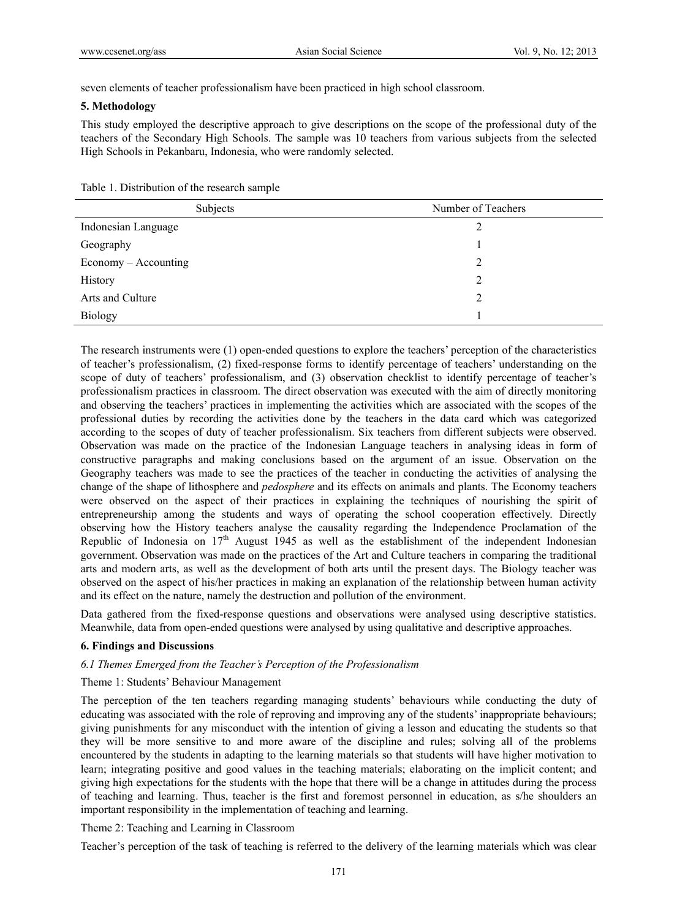seven elements of teacher professionalism have been practiced in high school classroom.

## **5. Methodology**

This study employed the descriptive approach to give descriptions on the scope of the professional duty of the teachers of the Secondary High Schools. The sample was 10 teachers from various subjects from the selected High Schools in Pekanbaru, Indonesia, who were randomly selected.

Table 1. Distribution of the research sample

| Subjects             | Number of Teachers |
|----------------------|--------------------|
| Indonesian Language  | 2                  |
| Geography            |                    |
| Economy – Accounting | 2                  |
| History              | 2                  |
| Arts and Culture     | 2                  |
| <b>Biology</b>       |                    |

The research instruments were (1) open-ended questions to explore the teachers' perception of the characteristics of teacher's professionalism, (2) fixed-response forms to identify percentage of teachers' understanding on the scope of duty of teachers' professionalism, and (3) observation checklist to identify percentage of teacher's professionalism practices in classroom. The direct observation was executed with the aim of directly monitoring and observing the teachers' practices in implementing the activities which are associated with the scopes of the professional duties by recording the activities done by the teachers in the data card which was categorized according to the scopes of duty of teacher professionalism. Six teachers from different subjects were observed. Observation was made on the practice of the Indonesian Language teachers in analysing ideas in form of constructive paragraphs and making conclusions based on the argument of an issue. Observation on the Geography teachers was made to see the practices of the teacher in conducting the activities of analysing the change of the shape of lithosphere and *pedosphere* and its effects on animals and plants. The Economy teachers were observed on the aspect of their practices in explaining the techniques of nourishing the spirit of entrepreneurship among the students and ways of operating the school cooperation effectively. Directly observing how the History teachers analyse the causality regarding the Independence Proclamation of the Republic of Indonesia on  $17<sup>th</sup>$  August 1945 as well as the establishment of the independent Indonesian government. Observation was made on the practices of the Art and Culture teachers in comparing the traditional arts and modern arts, as well as the development of both arts until the present days. The Biology teacher was observed on the aspect of his/her practices in making an explanation of the relationship between human activity and its effect on the nature, namely the destruction and pollution of the environment.

Data gathered from the fixed-response questions and observations were analysed using descriptive statistics. Meanwhile, data from open-ended questions were analysed by using qualitative and descriptive approaches.

## **6. Findings and Discussions**

## *6.1 Themes Emerged from the Teacher's Perception of the Professionalism*

## Theme 1: Students' Behaviour Management

The perception of the ten teachers regarding managing students' behaviours while conducting the duty of educating was associated with the role of reproving and improving any of the students' inappropriate behaviours; giving punishments for any misconduct with the intention of giving a lesson and educating the students so that they will be more sensitive to and more aware of the discipline and rules; solving all of the problems encountered by the students in adapting to the learning materials so that students will have higher motivation to learn; integrating positive and good values in the teaching materials; elaborating on the implicit content; and giving high expectations for the students with the hope that there will be a change in attitudes during the process of teaching and learning. Thus, teacher is the first and foremost personnel in education, as s/he shoulders an important responsibility in the implementation of teaching and learning.

Theme 2: Teaching and Learning in Classroom

Teacher's perception of the task of teaching is referred to the delivery of the learning materials which was clear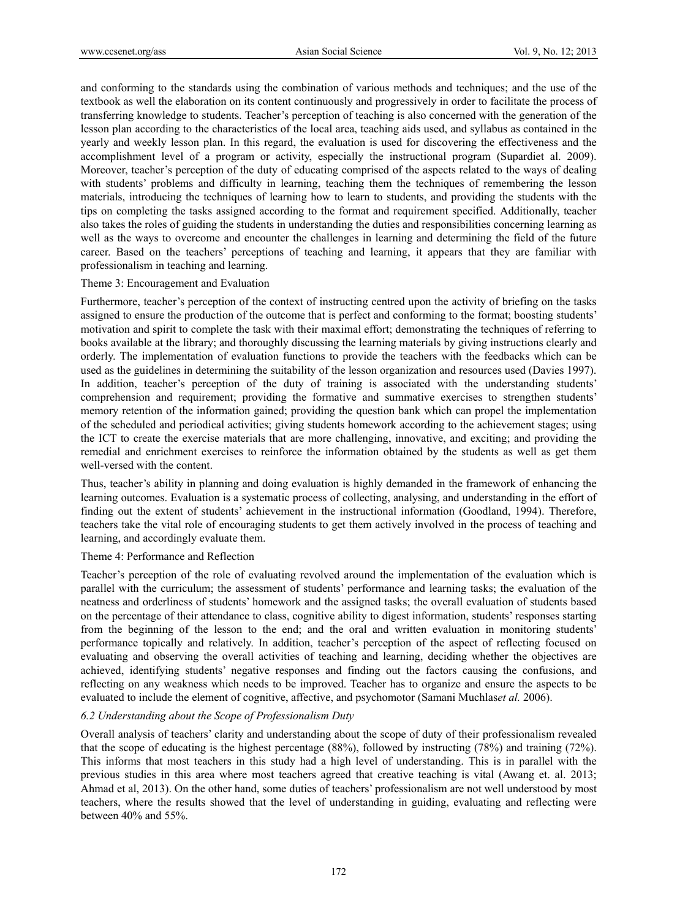and conforming to the standards using the combination of various methods and techniques; and the use of the textbook as well the elaboration on its content continuously and progressively in order to facilitate the process of transferring knowledge to students. Teacher's perception of teaching is also concerned with the generation of the lesson plan according to the characteristics of the local area, teaching aids used, and syllabus as contained in the yearly and weekly lesson plan. In this regard, the evaluation is used for discovering the effectiveness and the accomplishment level of a program or activity, especially the instructional program (Supardiet al. 2009). Moreover, teacher's perception of the duty of educating comprised of the aspects related to the ways of dealing with students' problems and difficulty in learning, teaching them the techniques of remembering the lesson materials, introducing the techniques of learning how to learn to students, and providing the students with the tips on completing the tasks assigned according to the format and requirement specified. Additionally, teacher also takes the roles of guiding the students in understanding the duties and responsibilities concerning learning as well as the ways to overcome and encounter the challenges in learning and determining the field of the future career. Based on the teachers' perceptions of teaching and learning, it appears that they are familiar with professionalism in teaching and learning.

#### Theme 3: Encouragement and Evaluation

Furthermore, teacher's perception of the context of instructing centred upon the activity of briefing on the tasks assigned to ensure the production of the outcome that is perfect and conforming to the format; boosting students' motivation and spirit to complete the task with their maximal effort; demonstrating the techniques of referring to books available at the library; and thoroughly discussing the learning materials by giving instructions clearly and orderly. The implementation of evaluation functions to provide the teachers with the feedbacks which can be used as the guidelines in determining the suitability of the lesson organization and resources used (Davies 1997). In addition, teacher's perception of the duty of training is associated with the understanding students' comprehension and requirement; providing the formative and summative exercises to strengthen students' memory retention of the information gained; providing the question bank which can propel the implementation of the scheduled and periodical activities; giving students homework according to the achievement stages; using the ICT to create the exercise materials that are more challenging, innovative, and exciting; and providing the remedial and enrichment exercises to reinforce the information obtained by the students as well as get them well-versed with the content.

Thus, teacher's ability in planning and doing evaluation is highly demanded in the framework of enhancing the learning outcomes. Evaluation is a systematic process of collecting, analysing, and understanding in the effort of finding out the extent of students' achievement in the instructional information (Goodland, 1994). Therefore, teachers take the vital role of encouraging students to get them actively involved in the process of teaching and learning, and accordingly evaluate them.

#### Theme 4: Performance and Reflection

Teacher's perception of the role of evaluating revolved around the implementation of the evaluation which is parallel with the curriculum; the assessment of students' performance and learning tasks; the evaluation of the neatness and orderliness of students' homework and the assigned tasks; the overall evaluation of students based on the percentage of their attendance to class, cognitive ability to digest information, students' responses starting from the beginning of the lesson to the end; and the oral and written evaluation in monitoring students' performance topically and relatively. In addition, teacher's perception of the aspect of reflecting focused on evaluating and observing the overall activities of teaching and learning, deciding whether the objectives are achieved, identifying students' negative responses and finding out the factors causing the confusions, and reflecting on any weakness which needs to be improved. Teacher has to organize and ensure the aspects to be evaluated to include the element of cognitive, affective, and psychomotor (Samani Muchlas*et al.* 2006).

## *6.2 Understanding about the Scope of Professionalism Duty*

Overall analysis of teachers' clarity and understanding about the scope of duty of their professionalism revealed that the scope of educating is the highest percentage (88%), followed by instructing (78%) and training (72%). This informs that most teachers in this study had a high level of understanding. This is in parallel with the previous studies in this area where most teachers agreed that creative teaching is vital (Awang et. al. 2013; Ahmad et al, 2013). On the other hand, some duties of teachers' professionalism are not well understood by most teachers, where the results showed that the level of understanding in guiding, evaluating and reflecting were between 40% and 55%.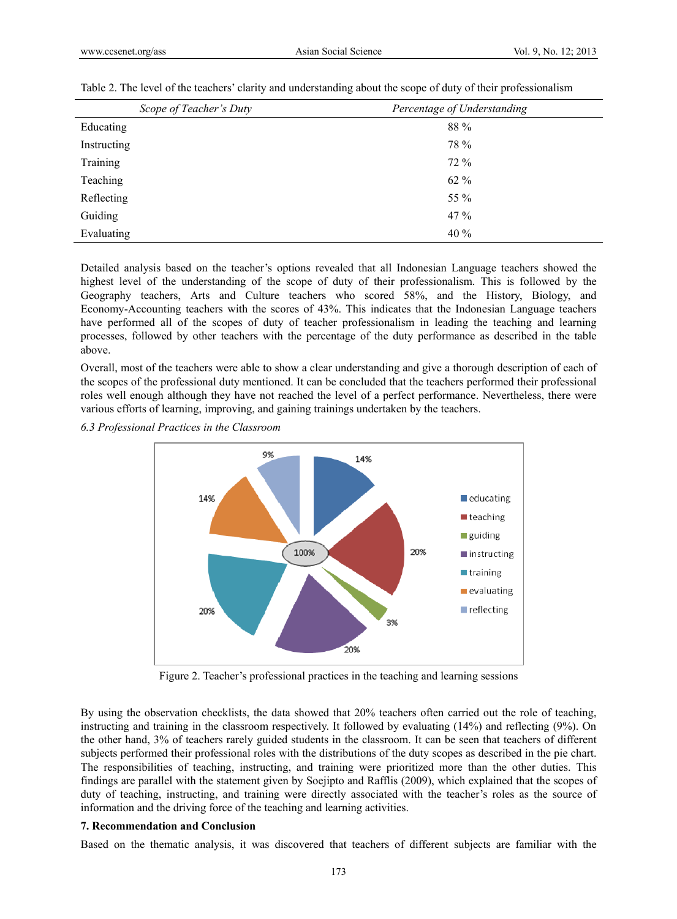| Scope of Teacher's Duty | Percentage of Understanding |
|-------------------------|-----------------------------|
| Educating               | 88 %                        |
| Instructing             | 78 %                        |
| Training                | 72 %                        |
| Teaching                | $62\%$                      |
| Reflecting              | 55 %                        |
| Guiding                 | 47%                         |
| Evaluating              | 40 %                        |

Table 2. The level of the teachers' clarity and understanding about the scope of duty of their professionalism

Detailed analysis based on the teacher's options revealed that all Indonesian Language teachers showed the highest level of the understanding of the scope of duty of their professionalism. This is followed by the Geography teachers, Arts and Culture teachers who scored 58%, and the History, Biology, and Economy-Accounting teachers with the scores of 43%. This indicates that the Indonesian Language teachers have performed all of the scopes of duty of teacher professionalism in leading the teaching and learning processes, followed by other teachers with the percentage of the duty performance as described in the table above.

Overall, most of the teachers were able to show a clear understanding and give a thorough description of each of the scopes of the professional duty mentioned. It can be concluded that the teachers performed their professional roles well enough although they have not reached the level of a perfect performance. Nevertheless, there were various efforts of learning, improving, and gaining trainings undertaken by the teachers.

*6.3 Professional Practices in the Classroom* 



Figure 2. Teacher's professional practices in the teaching and learning sessions

By using the observation checklists, the data showed that 20% teachers often carried out the role of teaching, instructing and training in the classroom respectively. It followed by evaluating (14%) and reflecting (9%). On the other hand, 3% of teachers rarely guided students in the classroom. It can be seen that teachers of different subjects performed their professional roles with the distributions of the duty scopes as described in the pie chart. The responsibilities of teaching, instructing, and training were prioritized more than the other duties. This findings are parallel with the statement given by Soejipto and Rafflis (2009), which explained that the scopes of duty of teaching, instructing, and training were directly associated with the teacher's roles as the source of information and the driving force of the teaching and learning activities.

#### **7. Recommendation and Conclusion**

Based on the thematic analysis, it was discovered that teachers of different subjects are familiar with the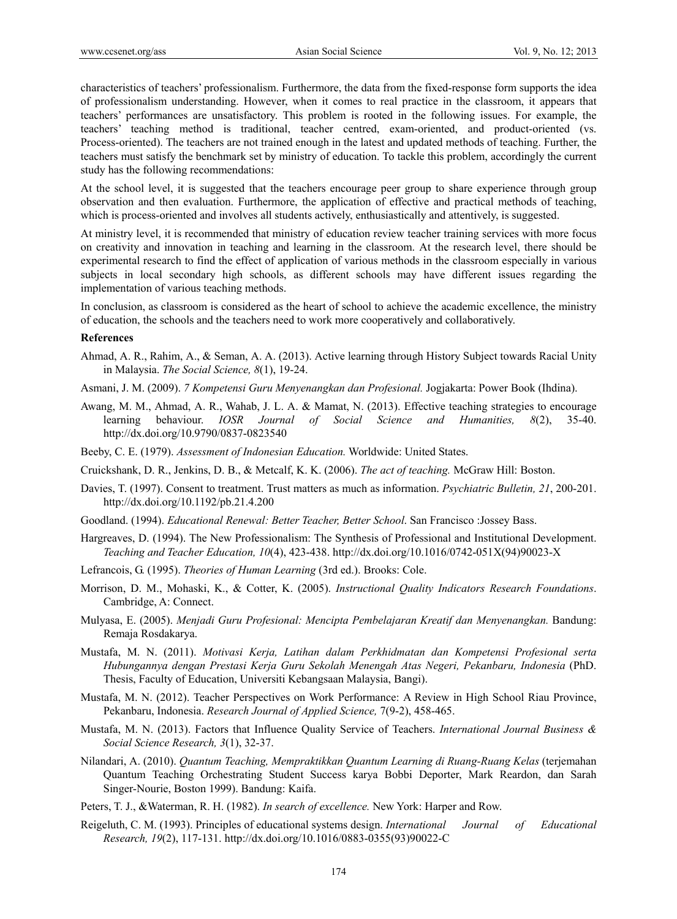characteristics of teachers' professionalism. Furthermore, the data from the fixed-response form supports the idea of professionalism understanding. However, when it comes to real practice in the classroom, it appears that teachers' performances are unsatisfactory. This problem is rooted in the following issues. For example, the teachers' teaching method is traditional, teacher centred, exam-oriented, and product-oriented (vs. Process-oriented). The teachers are not trained enough in the latest and updated methods of teaching. Further, the teachers must satisfy the benchmark set by ministry of education. To tackle this problem, accordingly the current study has the following recommendations:

At the school level, it is suggested that the teachers encourage peer group to share experience through group observation and then evaluation. Furthermore, the application of effective and practical methods of teaching, which is process-oriented and involves all students actively, enthusiastically and attentively, is suggested.

At ministry level, it is recommended that ministry of education review teacher training services with more focus on creativity and innovation in teaching and learning in the classroom. At the research level, there should be experimental research to find the effect of application of various methods in the classroom especially in various subjects in local secondary high schools, as different schools may have different issues regarding the implementation of various teaching methods.

In conclusion, as classroom is considered as the heart of school to achieve the academic excellence, the ministry of education, the schools and the teachers need to work more cooperatively and collaboratively.

#### **References**

- Ahmad, A. R., Rahim, A., & Seman, A. A. (2013). Active learning through History Subject towards Racial Unity in Malaysia. *The Social Science, 8*(1), 19-24.
- Asmani, J. M. (2009). *7 Kompetensi Guru Menyenangkan dan Profesional.* Jogjakarta: Power Book (Ihdina).
- Awang, M. M., Ahmad, A. R., Wahab, J. L. A. & Mamat, N. (2013). Effective teaching strategies to encourage learning behaviour. *IOSR Journal of Social Science and Humanities, 8*(2), 35-40. http://dx.doi.org/10.9790/0837-0823540
- Beeby, C. E. (1979). *Assessment of Indonesian Education.* Worldwide: United States.
- Cruickshank, D. R., Jenkins, D. B., & Metcalf, K. K. (2006). *The act of teaching.* McGraw Hill: Boston.
- Davies, T. (1997). Consent to treatment. Trust matters as much as information. *Psychiatric Bulletin, 21*, 200-201. http://dx.doi.org/10.1192/pb.21.4.200
- Goodland. (1994). *Educational Renewal: Better Teacher, Better School*. San Francisco :Jossey Bass.
- Hargreaves, D. (1994). The New Professionalism: The Synthesis of Professional and Institutional Development. *Teaching and Teacher Education, 10*(4), 423-438. http://dx.doi.org/10.1016/0742-051X(94)90023-X
- Lefrancois, G. (1995). *Theories of Human Learning* (3rd ed.). Brooks: Cole.
- Morrison, D. M., Mohaski, K., & Cotter, K. (2005). *Instructional Quality Indicators Research Foundations*. Cambridge, A: Connect.
- Mulyasa, E. (2005). *Menjadi Guru Profesional: Mencipta Pembelajaran Kreatif dan Menyenangkan.* Bandung: Remaja Rosdakarya.
- Mustafa, M. N. (2011). *Motivasi Kerja, Latihan dalam Perkhidmatan dan Kompetensi Profesional serta Hubungannya dengan Prestasi Kerja Guru Sekolah Menengah Atas Negeri, Pekanbaru, Indonesia* (PhD. Thesis, Faculty of Education, Universiti Kebangsaan Malaysia, Bangi).
- Mustafa, M. N. (2012). Teacher Perspectives on Work Performance: A Review in High School Riau Province, Pekanbaru, Indonesia. *Research Journal of Applied Science,* 7(9-2), 458-465.
- Mustafa, M. N. (2013). Factors that Influence Quality Service of Teachers. *International Journal Business & Social Science Research, 3*(1), 32-37.
- Nilandari, A. (2010). *Quantum Teaching, Mempraktikkan Quantum Learning di Ruang-Ruang Kelas* (terjemahan Quantum Teaching Orchestrating Student Success karya Bobbi Deporter, Mark Reardon, dan Sarah Singer-Nourie, Boston 1999). Bandung: Kaifa.
- Peters, T. J., &Waterman, R. H. (1982). *In search of excellence.* New York: Harper and Row.
- Reigeluth, C. M. (1993). Principles of educational systems design. *International Journal of Educational Research, 19*(2), 117-131. http://dx.doi.org/10.1016/0883-0355(93)90022-C